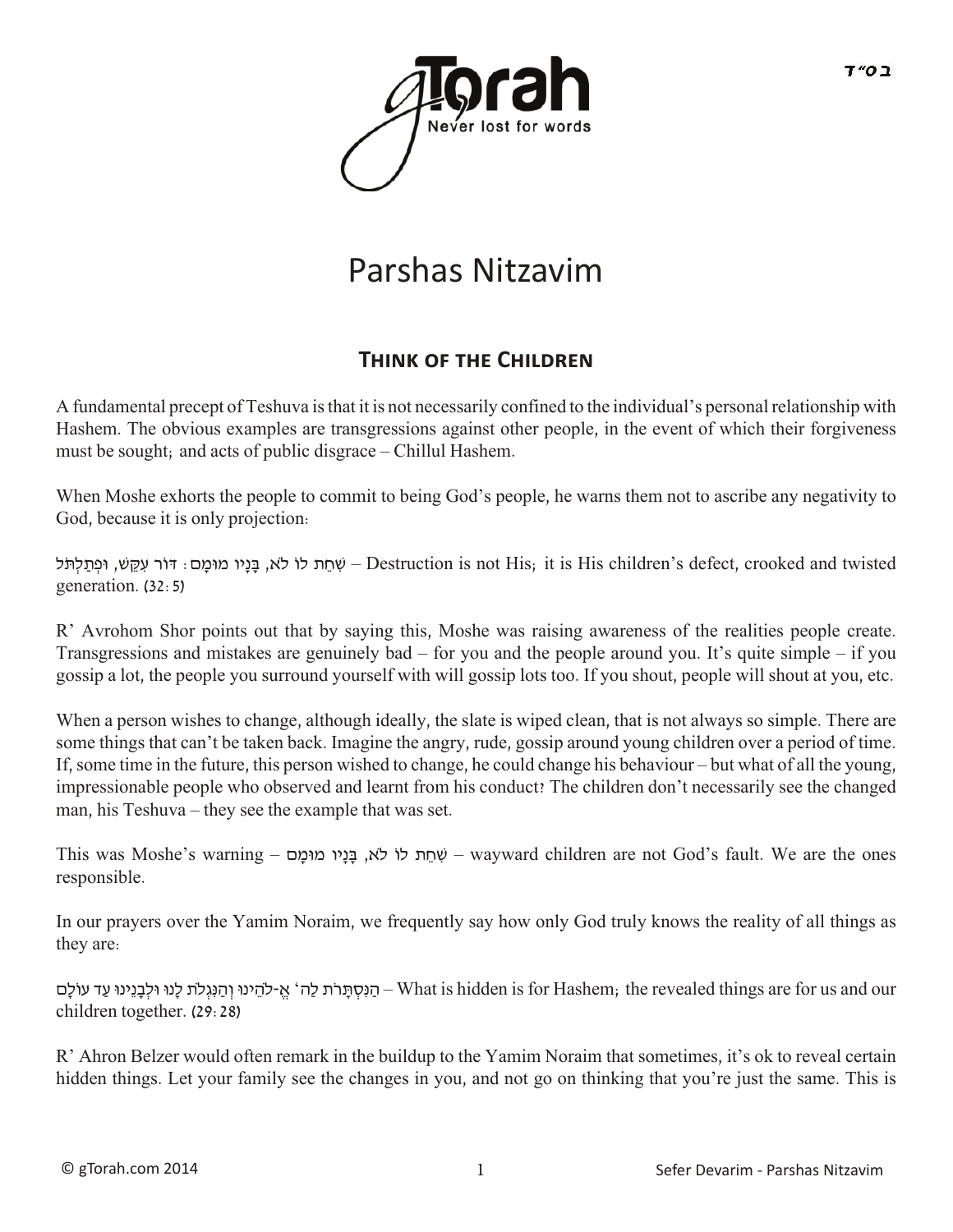

## Parshas Nitzavim

## **THINK OF THE CHILDREN**

A fundamental precept of Teshuva is that it is not necessarily confined to the individual's personal relationship with Hashem. The obvious examples are transgressions against other people, in the event of which their forgiveness must be sought; and acts of public disgrace – Chillul Hashem.

When Moshe exhorts the people to commit to being God's people, he warns them not to ascribe any negativity to God, because it is only projection:

שְׁחֵת לוֹ לֹא, בָּנָיו מוּמַם: דוֹר עִקֵשׁ, וּפְתַלְתֹּל – Destruction is not His; it is His children's defect, crooked and twisted generation. (32:5)

R' Avrohom Shor points out that by saying this, Moshe was raising awareness of the realities people create. Transgressions and mistakes are genuinely bad – for you and the people around you. It's quite simple – if you gossip a lot, the people you surround yourself with will gossip lots too. If you shout, people will shout at you, etc.

When a person wishes to change, although ideally, the slate is wiped clean, that is not always so simple. There are some things that can't be taken back. Imagine the angry, rude, gossip around young children over a period of time. If, some time in the future, this person wished to change, he could change his behaviour – but what of all the young, impressionable people who observed and learnt from his conduct? The children don't necessarily see the changed man, his Teshuva – they see the example that was set.

This was Moshe's warning – ם ָמוּמ יוָנ ָבּ ,א �ֹלו ת ֵח ִשׁ – wayward children are not God's fault. We are the ones responsible.

In our prayers over the Yamim Noraim, we frequently say how only God truly knows the reality of all things as they are:

הַנִּסְתַּרֹת לָה' אֱ-לֹהֶינוּ וְהַנִּגְלֹת לָנוּ וּלִבְנֵינוּ עַד עוֹלָם– What is hidden is for Hashem; the revealed things are for us and our children together. (29:28)

R' Ahron Belzer would often remark in the buildup to the Yamim Noraim that sometimes, it's ok to reveal certain hidden things. Let your family see the changes in you, and not go on thinking that you're just the same. This is